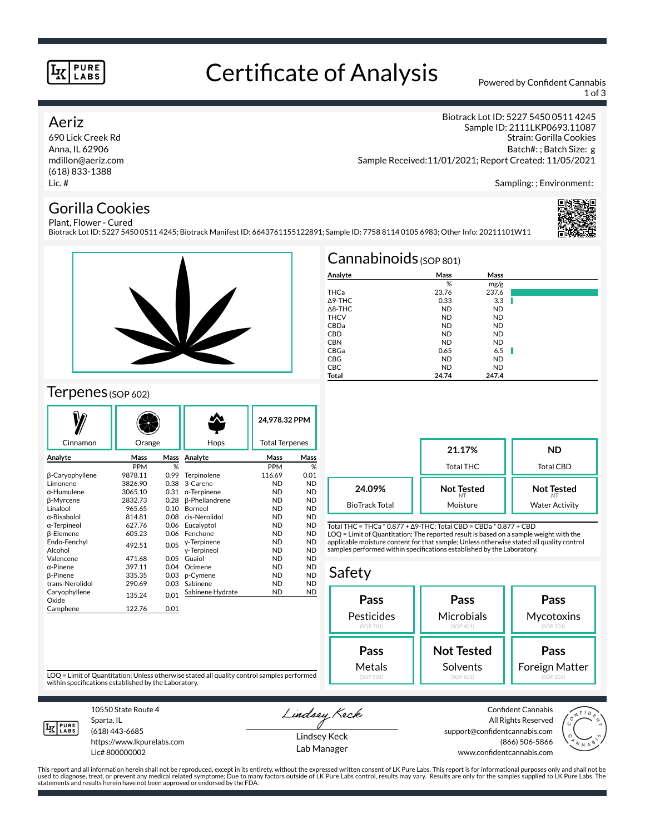#### **PURE LABS**

## Certificate of Analysis Powered by Confident Cannabis

1 of 3

Strain: Gorilla Cookies Batch#: ; Batch Size: g

Sampling: ; Environment:

Biotrack Lot ID: 5227 5450 0511 4245 Sample ID: 2111LKP0693.11087

#### Aeriz

690 Lick Creek Rd Anna, IL 62906 mdillon@aeriz.com (618) 833-1388 Lic. #

#### Gorilla Cookies Plant, Flower - Cured

Biotrack Lot ID: 5227 5450 0511 4245; Biotrack Manifest ID: 6643761155122891; Sample ID: 7758 8114 0105 6983; Other Info: 20211101W11





### Terpenes (SOP 602)

|                        |            |      |                       | 24,978.32 PPM         |           |
|------------------------|------------|------|-----------------------|-----------------------|-----------|
| Cinnamon               | Orange     |      | Hops                  | <b>Total Terpenes</b> |           |
| Analyte                | Mass       | Mass | Analyte               | Mass                  | Mass      |
|                        | <b>PPM</b> | %    |                       | <b>PPM</b>            | %         |
| β-Caryophyllene        | 9878.11    | 0.99 | Terpinolene           | 116.69                | 0.01      |
| Limonene               | 3826.90    | 0.38 | 3-Carene              | <b>ND</b>             | <b>ND</b> |
| $\alpha$ -Humulene     | 3065.10    | 0.31 | $\alpha$ -Terpinene   | <b>ND</b>             | <b>ND</b> |
| β-Myrcene              | 2832.73    | 0.28 | <b>ß-Phellandrene</b> | <b>ND</b>             | <b>ND</b> |
| Linalool               | 965.65     | 0.10 | Borneol               | <b>ND</b>             | <b>ND</b> |
| α-Bisabolol            | 814.81     | 0.08 | cis-Nerolidol         | <b>ND</b>             | <b>ND</b> |
| $\alpha$ -Terpineol    | 627.76     | 0.06 | Eucalyptol            | <b>ND</b>             | <b>ND</b> |
| <b>B-Elemene</b>       | 605.23     | 0.06 | Fenchone              | <b>ND</b>             | <b>ND</b> |
| Endo-Fenchyl           | 492.51     | 0.05 | y-Terpinene           | <b>ND</b>             | <b>ND</b> |
| Alcohol                |            |      | y-Terpineol           | <b>ND</b>             | <b>ND</b> |
| Valencene              | 471.68     | 0.05 | Guaiol                | <b>ND</b>             | <b>ND</b> |
| $\alpha$ -Pinene       | 397.11     | 0.04 | Ocimene               | <b>ND</b>             | <b>ND</b> |
| <b>B-Pinene</b>        | 335.35     | 0.03 | p-Cymene              | <b>ND</b>             | <b>ND</b> |
| trans-Nerolidol        | 290.69     | 0.03 | Sabinene              | <b>ND</b>             | <b>ND</b> |
| Caryophyllene<br>Oxide | 135.24     | 0.01 | Sabinene Hydrate      | <b>ND</b>             | <b>ND</b> |
| Camphene               | 122.76     | 0.01 |                       |                       |           |
|                        |            |      |                       |                       |           |

| Cannabinoids $(sOP 801)$ |           |           |      |  |  |  |  |
|--------------------------|-----------|-----------|------|--|--|--|--|
| Analyte                  | Mass      | Mass      |      |  |  |  |  |
|                          | %         | mg/g      |      |  |  |  |  |
| THCa                     | 23.76     | 237.6     |      |  |  |  |  |
| $\triangle$ 9-THC        | 0.33      | 3.3       |      |  |  |  |  |
| $\triangle$ 8-THC        | <b>ND</b> | <b>ND</b> |      |  |  |  |  |
| <b>THCV</b>              | <b>ND</b> | <b>ND</b> |      |  |  |  |  |
| CBDa                     | <b>ND</b> | <b>ND</b> |      |  |  |  |  |
| <b>CBD</b>               | <b>ND</b> | <b>ND</b> |      |  |  |  |  |
| <b>CBN</b>               | <b>ND</b> | <b>ND</b> |      |  |  |  |  |
| CBGa                     | 0.65      | 6.5       | a ka |  |  |  |  |
| <b>CBG</b>               | <b>ND</b> | <b>ND</b> |      |  |  |  |  |
| <b>CBC</b>               | <b>ND</b> | <b>ND</b> |      |  |  |  |  |
| Total                    | 24.74     | 247.4     |      |  |  |  |  |

Sample Received:11/01/2021; Report Created: 11/05/2021

|                       | 21.17%<br>Total THC | ND<br>Total CBD       |  |
|-----------------------|---------------------|-----------------------|--|
| 24.09%                | <b>Not Tested</b>   | <b>Not Tested</b>     |  |
| <b>BioTrack Total</b> | Moisture            | <b>Water Activity</b> |  |

Total THC = THCa \* 0.877 + ∆9-THC; Total CBD = CBDa \* 0.877 + CBD LOQ = Limit of Quantitation; The reported result is based on a sample weight with the applicable moisture content for that sample; Unless otherwise stated all quality control samples performed within specifications established by the Laboratory.

#### Safety **Pass** Pesticides (SOP 701) **Pass Microbials** (SOP 401) **Pass Mycotoxins** (SOP 501) **Not Tested** Solvents **Pass** Foreign Matter **Pass** Metals

LOQ = Limit of Quantitation; Unless otherwise stated all quality control samples performed within specifications established by the Laboratory.



Sparta, IL (618) 443-6685 https://www.lkpurelabs.com

Lic# 800000002

10550 State Route 4

Lindsey Keck

Lindsey Keck Lab Manager

Confident Cannabis All Rights Reserved support@confidentcannabis.com (866) 506-5866 www.confidentcannabis.com



This report and all information herein shall not be reproduced, except in its entirety, without the expressed written consent of LK Pure Labs. This report is for informational purposes only and shall not be<br>used to diagnos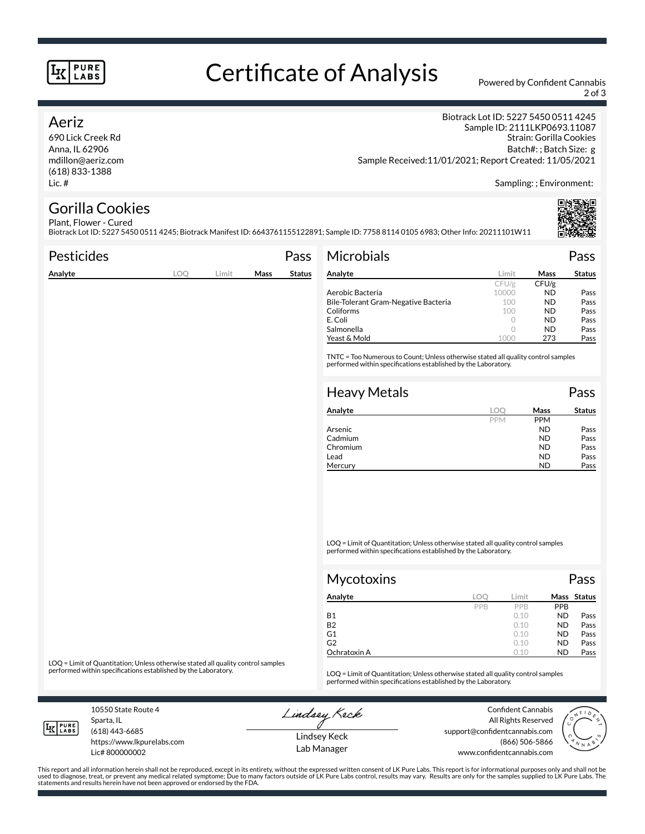#### **PURE LABS**

# Certificate of Analysis Powered by Confident Cannabis

2 of 3

#### Aeriz

690 Lick Creek Rd Anna, IL 62906 mdillon@aeriz.com (618) 833-1388 Lic. #

Biotrack Lot ID: 5227 5450 0511 4245 Sample ID: 2111LKP0693.11087 Strain: Gorilla Cookies Batch#: ; Batch Size: g Sample Received:11/01/2021; Report Created: 11/05/2021

Sampling: ; Environment:

#### Gorilla Cookies Plant, Flower - Cured

Biotrack Lot ID: 5227 5450 0511 4245; Biotrack Manifest ID: 6643761155122891; Sample ID: 7758 8114 0105 6983; Other Info: 20211101W11

| <b>Pesticides</b> |            |       |      | Pass          | <b>Microbials</b>                                                                                                                                   |                  |                  | Pass          |
|-------------------|------------|-------|------|---------------|-----------------------------------------------------------------------------------------------------------------------------------------------------|------------------|------------------|---------------|
| Analyte           | <b>LOQ</b> | Limit | Mass | <b>Status</b> | Analyte                                                                                                                                             | Limit            | Mass             | <b>Status</b> |
|                   |            |       |      |               |                                                                                                                                                     | CFU/g            | CFU/g            |               |
|                   |            |       |      |               | Aerobic Bacteria                                                                                                                                    | 10000            | <b>ND</b>        | Pass          |
|                   |            |       |      |               | Bile-Tolerant Gram-Negative Bacteria                                                                                                                | 100              | <b>ND</b>        | Pass          |
|                   |            |       |      |               | Coliforms                                                                                                                                           | 100              | <b>ND</b>        | Pass          |
|                   |            |       |      |               | E. Coli                                                                                                                                             | 0                | <b>ND</b>        | Pass          |
|                   |            |       |      |               | Salmonella                                                                                                                                          | 0                | <b>ND</b>        | Pass          |
|                   |            |       |      |               | Yeast & Mold                                                                                                                                        | 1000             | 273              | Pass          |
|                   |            |       |      |               | TNTC = Too Numerous to Count; Unless otherwise stated all quality control samples<br>performed within specifications established by the Laboratory. |                  |                  |               |
|                   |            |       |      |               | <b>Heavy Metals</b>                                                                                                                                 |                  |                  | Pass          |
|                   |            |       |      |               | Analyte                                                                                                                                             | LOO              | Mass             | <b>Status</b> |
|                   |            |       |      |               |                                                                                                                                                     | DDM <sub>4</sub> | DDM <sub>4</sub> |               |

| Analyte  | LO (       | Mass       | Status |
|----------|------------|------------|--------|
|          | <b>PPM</b> | <b>PPM</b> |        |
| Arsenic  |            | ND         | Pass   |
| Cadmium  |            | ND         | Pass   |
| Chromium |            | ND         | Pass   |
| Lead     |            | ND         | Pass   |
| Mercury  |            | ND         | Pass   |

LOQ = Limit of Quantitation; Unless otherwise stated all quality control samples performed within specifications established by the Laboratory.

| Mycotoxins     |     |       |            | Pass        |
|----------------|-----|-------|------------|-------------|
| Analyte        | loc | Limit |            | Mass Status |
|                | PPB | PPB   | <b>PPB</b> |             |
| Β1             |     | 0.10  | <b>ND</b>  | Pass        |
| B <sub>2</sub> |     | 0.10  | <b>ND</b>  | Pass        |
| G1             |     | 0.10  | <b>ND</b>  | Pass        |
| G2             |     | 0.10  | <b>ND</b>  | Pass        |
| Ochratoxin A   |     | 0.10  | <b>ND</b>  | Pass        |

LOQ = Limit of Quantitation; Unless otherwise stated all quality control samples<br>performed within specifications established by the Laboratory.

LOQ = Limit of Quantitation; Unless otherwise stated all quality control samples performed within specifications established by the Laboratory.

10550 State Route 4 Sparta, IL

Lindsey Keck

Confident Cannabis



**LK** LABS

(618) 443-6685

https://www.lkpurelabs.com Lic# 800000002

Lindsey Keck Lab Manager

All Rights Reserved support@confidentcannabis.com (866) 506-5866 www.confidentcannabis.com

This report and all information herein shall not be reproduced, except in its entirety, without the expressed written consent of LK Pure Labs. This report is for informational purposes only and shall not be<br>used to diagnos statements and results herein have not been approved or endorsed by the FDA.